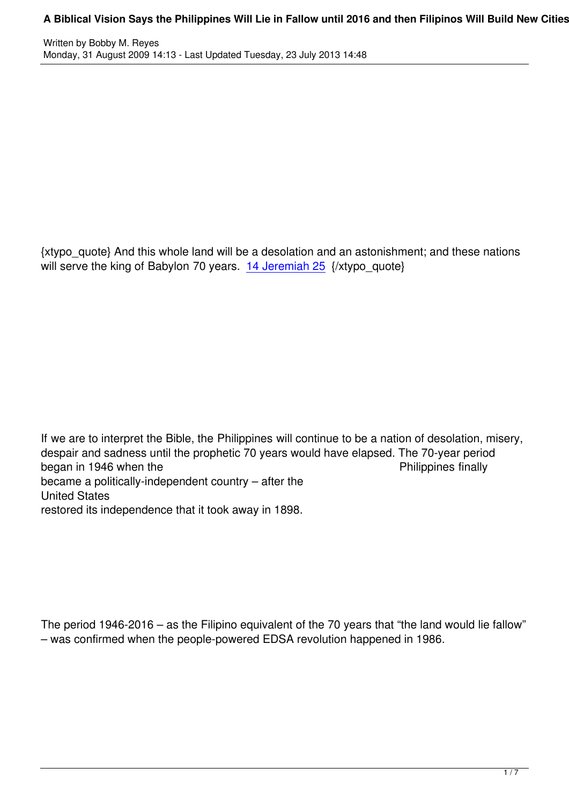{xtypo\_quote} And this whole land will be a desolation and an astonishment; and these nations will serve the king of Babylon 70 years. 14 Jeremiah  $25 \sqrt{xy}$  quote}

If we are to interpret the Bible, the Philippines will continue to be a nation of desolation, misery, despair and sadness until the prophetic 70 years would have elapsed. The 70-year period<br>began in 1946 when the began in 1946 when the became a politically-independent country – after the United States restored its independence that it took away in 1898.

The period 1946-2016 – as the Filipino equivalent of the 70 years that "the land would lie fallow" – was confirmed when the people-powered EDSA revolution happened in 1986.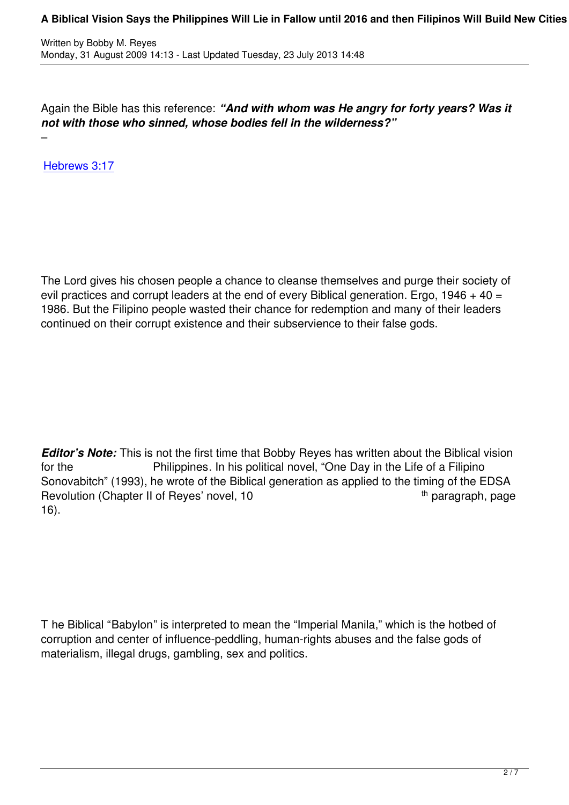Again the Bible has this reference: *"And with whom was He angry for forty years? Was it not with those who sinned, whose bodies fell in the wilderness?"*

Hebrews 3:17

–

The Lord gives his chosen people a chance to cleanse themselves and purge their society of evil practices and corrupt leaders at the end of every Biblical generation. Ergo,  $1946 + 40 =$ 1986. But the Filipino people wasted their chance for redemption and many of their leaders continued on their corrupt existence and their subservience to their false gods.

*Editor's Note:* This is not the first time that Bobby Reyes has written about the Biblical vision for the Philippines. In his political novel, "One Day in the Life of a Filipino Sonovabitch" (1993), he wrote of the Biblical generation as applied to the timing of the EDSA Revolution (Chapter II of Reyes' novel, 10 the paragraph, page the paragraph, page 16).

T he Biblical "Babylon" is interpreted to mean the "Imperial Manila," which is the hotbed of corruption and center of influence-peddling, human-rights abuses and the false gods of materialism, illegal drugs, gambling, sex and politics.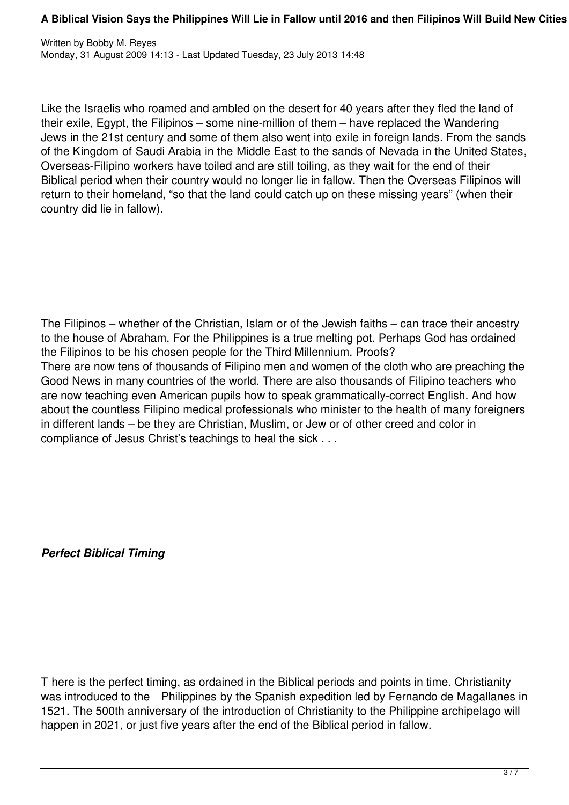Like the Israelis who roamed and ambled on the desert for 40 years after they fled the land of their exile, Egypt, the Filipinos – some nine-million of them – have replaced the Wandering Jews in the 21st century and some of them also went into exile in foreign lands. From the sands of the Kingdom of Saudi Arabia in the Middle East to the sands of Nevada in the United States, Overseas-Filipino workers have toiled and are still toiling, as they wait for the end of their Biblical period when their country would no longer lie in fallow. Then the Overseas Filipinos will return to their homeland, "so that the land could catch up on these missing years" (when their country did lie in fallow).

The Filipinos – whether of the Christian, Islam or of the Jewish faiths – can trace their ancestry to the house of Abraham. For the Philippines is a true melting pot. Perhaps God has ordained the Filipinos to be his chosen people for the Third Millennium. Proofs? There are now tens of thousands of Filipino men and women of the cloth who are preaching the Good News in many countries of the world. There are also thousands of Filipino teachers who are now teaching even American pupils how to speak grammatically-correct English. And how about the countless Filipino medical professionals who minister to the health of many foreigners in different lands – be they are Christian, Muslim, or Jew or of other creed and color in compliance of Jesus Christ's teachings to heal the sick . . .

*Perfect Biblical Timing*

T here is the perfect timing, as ordained in the Biblical periods and points in time. Christianity was introduced to the Philippines by the Spanish expedition led by Fernando de Magallanes in 1521. The 500th anniversary of the introduction of Christianity to the Philippine archipelago will happen in 2021, or just five years after the end of the Biblical period in fallow.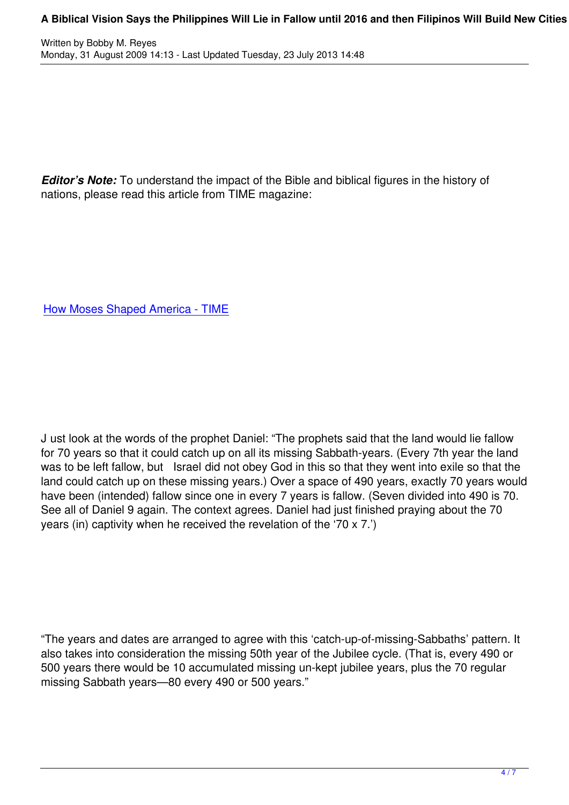*Editor's Note:* To understand the impact of the Bible and biblical figures in the history of nations, please read this article from TIME magazine:

How Moses Shaped America - TIME

J ust look at the words of the prophet Daniel: "The prophets said that the land would lie fallow for 70 years so that it could catch up on all its missing Sabbath-years. (Every 7th year the land was to be left fallow, but Israel did not obey God in this so that they went into exile so that the land could catch up on these missing years.) Over a space of 490 years, exactly 70 years would have been (intended) fallow since one in every 7 years is fallow. (Seven divided into 490 is 70. See all of Daniel 9 again. The context agrees. Daniel had just finished praying about the 70 years (in) captivity when he received the revelation of the '70 x 7.')

"The years and dates are arranged to agree with this 'catch-up-of-missing-Sabbaths' pattern. It also takes into consideration the missing 50th year of the Jubilee cycle. (That is, every 490 or 500 years there would be 10 accumulated missing un-kept jubilee years, plus the 70 regular missing Sabbath years—80 every 490 or 500 years."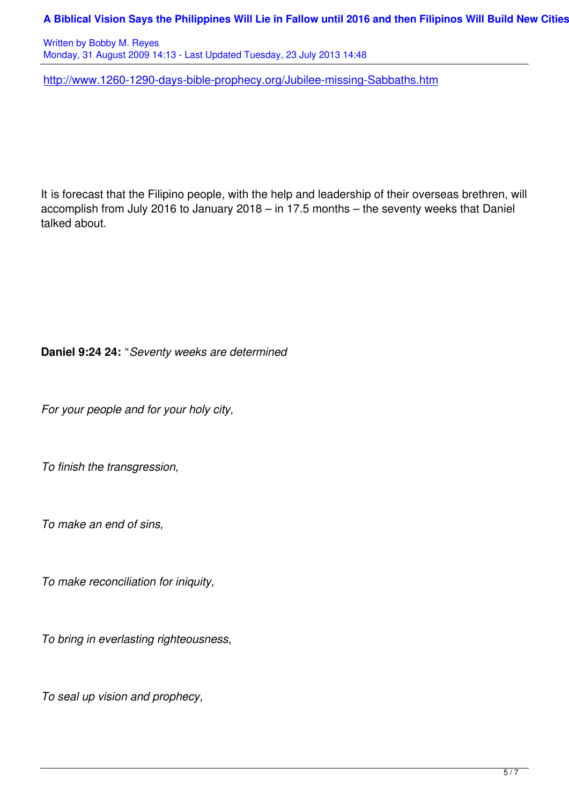http://www.1260-1290-days-bible-prophecy.org/Jubilee-missing-Sabbaths.htm

It is forecast that the Filipino people, with the help and leadership of their overseas brethren, will accomplish from July 2016 to January 2018 – in 17.5 months – the seventy weeks that Daniel talked about.

## **Daniel 9:24 24:** "*Seventy weeks are determined*

*For your people and for your holy city,*

*To finish the transgression,*

*To make an end of sins,*

*To make reconciliation for iniquity,*

*To bring in everlasting righteousness,*

*To seal up vision and prophecy,*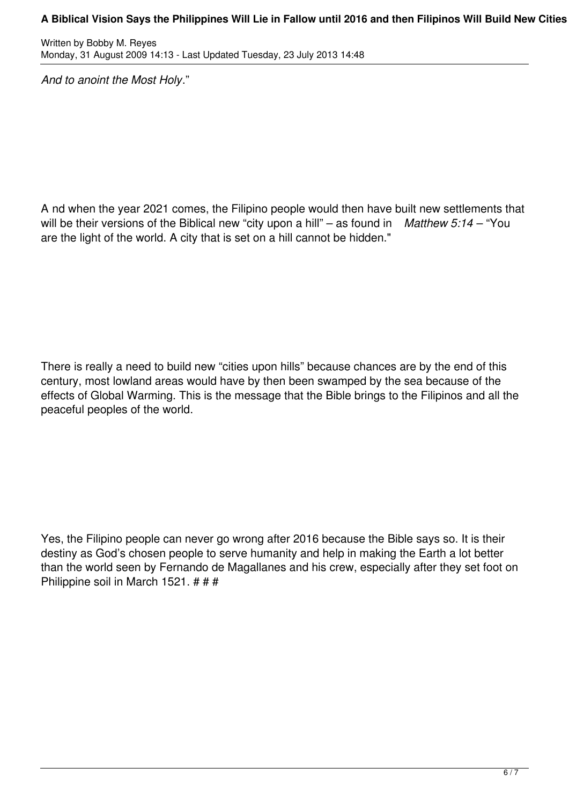## A Biblical Vision Says the Philippines Will Lie in Fallow until 2016 and then Filipinos Will Build New Cities

Written by Bobby M. Reyes Monday, 31 August 2009 14:13 - Last Updated Tuesday, 23 July 2013 14:48

*And to anoint the Most Holy*."

A nd when the year 2021 comes, the Filipino people would then have built new settlements that will be their versions of the Biblical new "city upon a hill" – as found in *Matthew 5:14* – "You are the light of the world. A city that is set on a hill cannot be hidden."

There is really a need to build new "cities upon hills" because chances are by the end of this century, most lowland areas would have by then been swamped by the sea because of the effects of Global Warming. This is the message that the Bible brings to the Filipinos and all the peaceful peoples of the world.

Yes, the Filipino people can never go wrong after 2016 because the Bible says so. It is their destiny as God's chosen people to serve humanity and help in making the Earth a lot better than the world seen by Fernando de Magallanes and his crew, especially after they set foot on Philippine soil in March 1521. # # #